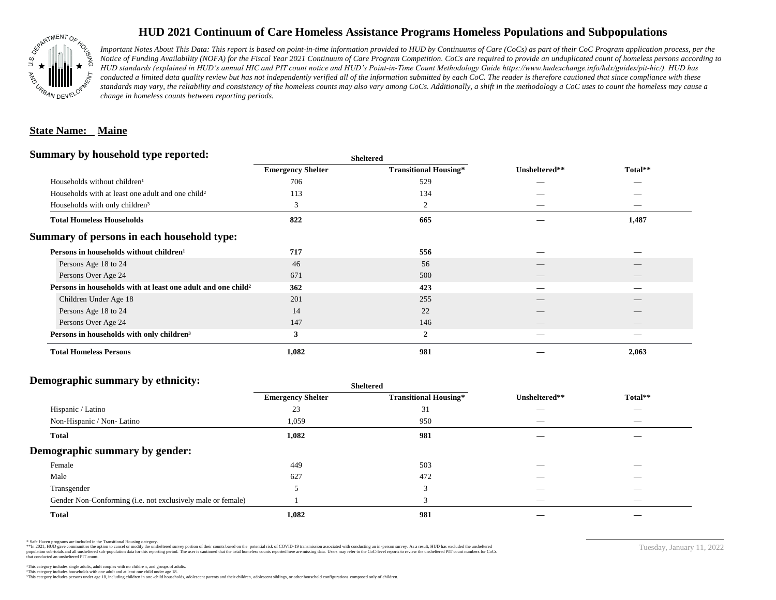

# **HUD 2021 Continuum of Care Homeless Assistance Programs Homeless Populations and Subpopulations**

*Important Notes About This Data: This report is based on point-in-time information provided to HUD by Continuums of Care (CoCs) as part of their CoC Program application process, per the Notice of Funding Availability (NOFA) for the Fiscal Year 2021 Continuum of Care Program Competition. CoCs are required to provide an unduplicated count of homeless persons according to HUD standards (explained in HUD's annual HIC and PIT count notice and HUD's Point-in-Time Count Methodology Guide https://www.hudexchange.info/hdx/guides/pit-hic/). HUD has*  conducted a limited data quality review but has not independently verified all of the information submitted by each CoC. The reader is therefore cautioned that since compliance with these standards may vary, the reliability and consistency of the homeless counts may also vary among CoCs. Additionally, a shift in the methodology a CoC uses to count the homeless may cause a *change in homeless counts between reporting periods.*

### **State Name: Maine**

#### **Summary by household type reported:**

|                          |                              | Unsheltered**            | Total**         |
|--------------------------|------------------------------|--------------------------|-----------------|
| <b>Emergency Shelter</b> | <b>Transitional Housing*</b> |                          |                 |
| 706                      | 529                          |                          |                 |
| 113                      | 134                          |                          |                 |
| 3                        | $\overline{2}$               | $\hspace{0.05cm}$        |                 |
| 822                      | 665                          |                          | 1,487           |
|                          |                              |                          |                 |
| 717                      | 556                          |                          |                 |
| 46                       | 56                           |                          |                 |
| 671                      | 500                          | $\overline{\phantom{a}}$ | $\qquad \qquad$ |
| 362                      | 423                          |                          |                 |
| 201                      | 255                          |                          |                 |
| 14                       | 22                           |                          |                 |
| 147                      | 146                          | __                       |                 |
| 3                        | $\overline{2}$               |                          |                 |
| 1,082                    | 981                          |                          | 2,063           |
|                          |                              | <b>Sheltered</b>         |                 |

### **Demographic summary by ethnicity:**

|                                                             |                          | <b>Sheltered</b>             |               |                                |
|-------------------------------------------------------------|--------------------------|------------------------------|---------------|--------------------------------|
|                                                             | <b>Emergency Shelter</b> | <b>Transitional Housing*</b> | Unsheltered** | Total**                        |
| Hispanic / Latino                                           | 23                       | 31                           | __            | $\overline{\phantom{a}}$       |
| Non-Hispanic / Non-Latino                                   | 1,059                    | 950                          |               | $\overbrace{\hspace{25mm}}^{}$ |
| <b>Total</b>                                                | 1,082                    | 981                          |               |                                |
| Demographic summary by gender:                              |                          |                              |               |                                |
| Female                                                      | 449                      | 503                          |               |                                |
| Male                                                        | 627                      | 472                          | __            | $\overbrace{\hspace{25mm}}^{}$ |
| Transgender                                                 |                          | 3                            |               | $\overbrace{\hspace{25mm}}^{}$ |
| Gender Non-Conforming (i.e. not exclusively male or female) |                          | 3                            | _             | $\overline{\phantom{a}}$       |
| <b>Total</b>                                                | 1,082                    | 981                          |               |                                |

\* Safe Haven programs are included in the Transitional Housing category.

\*\*In 2021, HUD gave communities the option to cancel or modify the unsheltered survey portion of their counts based on the potential risk of COVID-19 transmission associated with conducting an in-person survey. As a result n political and distribution of the resort in the constant of the experimental and the constant of the constant of the constant of the constant of the constant of the constant of the constant of the constant of the constan that conducted an unsheltered PIT count.

Tuesday, January 11, 2022